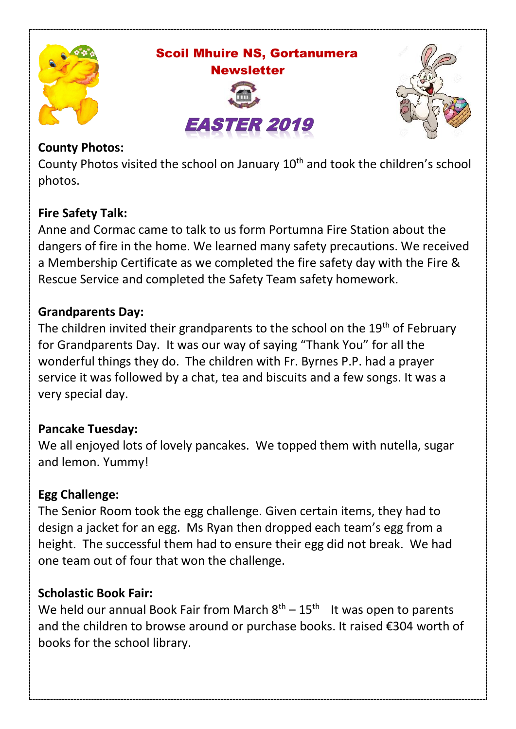

 Scoil Mhuire NS, Gortanumera **Newsletter** 





### **County Photos:**

County Photos visited the school on January  $10<sup>th</sup>$  and took the children's school photos.

# **Fire Safety Talk:**

Anne and Cormac came to talk to us form Portumna Fire Station about the dangers of fire in the home. We learned many safety precautions. We received a Membership Certificate as we completed the fire safety day with the Fire & Rescue Service and completed the Safety Team safety homework.

# **Grandparents Day:**

The children invited their grandparents to the school on the  $19<sup>th</sup>$  of February for Grandparents Day. It was our way of saying "Thank You" for all the wonderful things they do. The children with Fr. Byrnes P.P. had a prayer service it was followed by a chat, tea and biscuits and a few songs. It was a very special day.

# **Pancake Tuesday:**

We all enjoyed lots of lovely pancakes. We topped them with nutella, sugar and lemon. Yummy!

# **Egg Challenge:**

The Senior Room took the egg challenge. Given certain items, they had to design a jacket for an egg. Ms Ryan then dropped each team's egg from a height. The successful them had to ensure their egg did not break. We had one team out of four that won the challenge.

# **Scholastic Book Fair:**

We held our annual Book Fair from March  $8<sup>th</sup> - 15<sup>th</sup>$  It was open to parents and the children to browse around or purchase books. It raised €304 worth of books for the school library.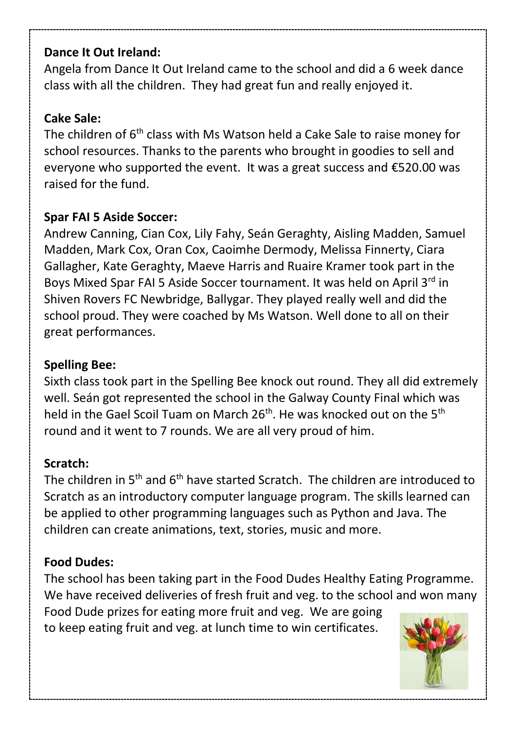#### **Dance It Out Ireland:**

Angela from Dance It Out Ireland came to the school and did a 6 week dance class with all the children. They had great fun and really enjoyed it.

#### **Cake Sale:**

The children of 6<sup>th</sup> class with Ms Watson held a Cake Sale to raise money for school resources. Thanks to the parents who brought in goodies to sell and everyone who supported the event. It was a great success and €520.00 was raised for the fund.

### **Spar FAI 5 Aside Soccer:**

Andrew Canning, Cian Cox, Lily Fahy, Seán Geraghty, Aisling Madden, Samuel Madden, Mark Cox, Oran Cox, Caoimhe Dermody, Melissa Finnerty, Ciara Gallagher, Kate Geraghty, Maeve Harris and Ruaire Kramer took part in the Boys Mixed Spar FAI 5 Aside Soccer tournament. It was held on April 3<sup>rd</sup> in Shiven Rovers FC Newbridge, Ballygar. They played really well and did the school proud. They were coached by Ms Watson. Well done to all on their great performances.

### **Spelling Bee:**

Sixth class took part in the Spelling Bee knock out round. They all did extremely well. Seán got represented the school in the Galway County Final which was held in the Gael Scoil Tuam on March  $26<sup>th</sup>$ . He was knocked out on the 5<sup>th</sup> round and it went to 7 rounds. We are all very proud of him.

### **Scratch:**

The children in 5<sup>th</sup> and 6<sup>th</sup> have started Scratch. The children are introduced to Scratch as an introductory computer language program. The skills learned can be applied to other programming languages such as Python and Java. The children can create animations, text, stories, music and more.

### **Food Dudes:**

The school has been taking part in the Food Dudes Healthy Eating Programme. We have received deliveries of fresh fruit and veg. to the school and won many Food Dude prizes for eating more fruit and veg. We are going to keep eating fruit and veg. at lunch time to win certificates.

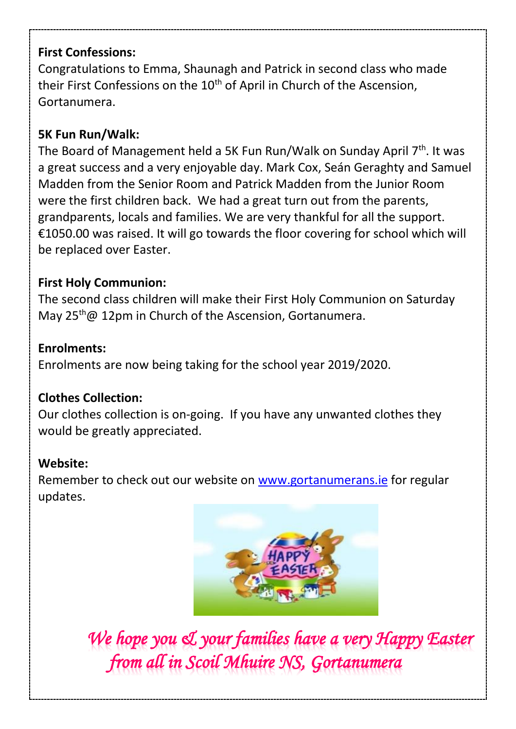### **First Confessions:**

Congratulations to Emma, Shaunagh and Patrick in second class who made their First Confessions on the 10<sup>th</sup> of April in Church of the Ascension, Gortanumera.

# **5K Fun Run/Walk:**

The Board of Management held a 5K Fun Run/Walk on Sunday April  $7<sup>th</sup>$ . It was a great success and a very enjoyable day. Mark Cox, Seán Geraghty and Samuel Madden from the Senior Room and Patrick Madden from the Junior Room were the first children back. We had a great turn out from the parents, grandparents, locals and families. We are very thankful for all the support. €1050.00 was raised. It will go towards the floor covering for school which will be replaced over Easter.

### **First Holy Communion:**

The second class children will make their First Holy Communion on Saturday May 25<sup>th</sup> @ 12pm in Church of the Ascension, Gortanumera.

### **Enrolments:**

Enrolments are now being taking for the school year 2019/2020.

### **Clothes Collection:**

Our clothes collection is on-going. If you have any unwanted clothes they would be greatly appreciated.

### **Website:**

Remember to check out our website o[n www.gortanumerans.ie](http://www.gortanumerans.ie/) for regular updates.



*We hope you & your families have a very Happy Easter from all in Scoil Mhuire NS, Gortanumera*